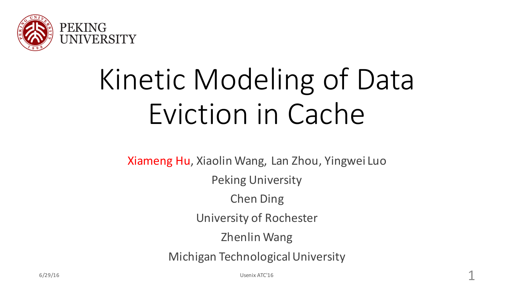

# Kinetic Modeling of Data Eviction in Cache

Xiameng Hu, Xiaolin Wang, Lan Zhou, Yingwei Luo **Peking University** Chen Ding University of Rochester Zhenlin Wang

Michigan Technological University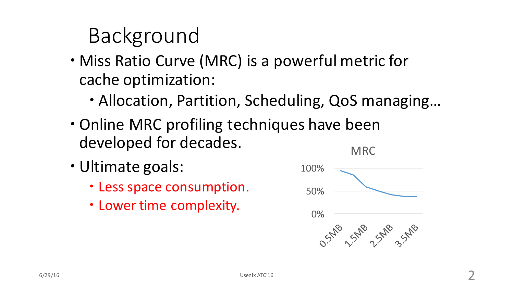# Background

- Miss Ratio Curve (MRC) is a powerful metric for cache optimization:
	- Allocation, Partition, Scheduling, QoS managing...
- Online MRC profiling techniques have been developed for decades. MRC
- Ultimate goals:
	- Less space consumption.
	- Lower time complexity.

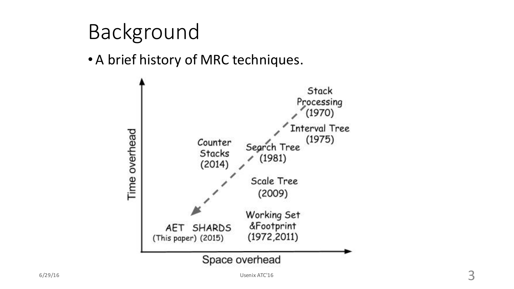# Background

#### • A brief history of MRC techniques.

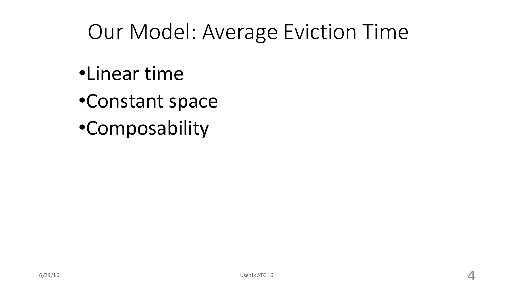# Our Model: Average Eviction Time

- •Linear time
- •Constant space
- •Composability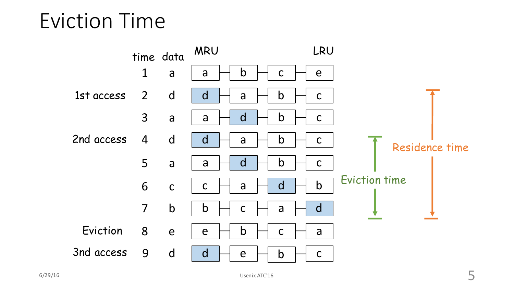Eviction Time

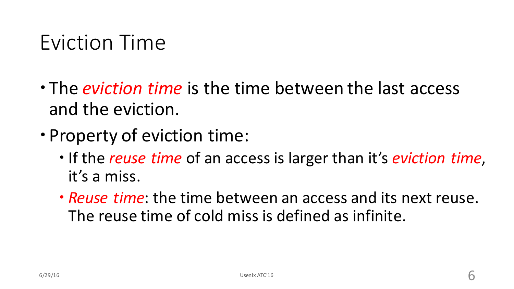#### Eviction Time

- The *eviction time* is the time between the last access and the eviction.
- Property of eviction time:
	- $\cdot$  If the *reuse time* of an access is larger than it's *eviction time*, it's a miss.
	- **Prink**: the time between an access and its next reuse. The reuse time of cold miss is defined as infinite.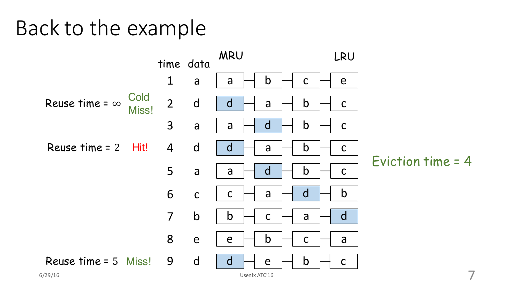#### Back to the example

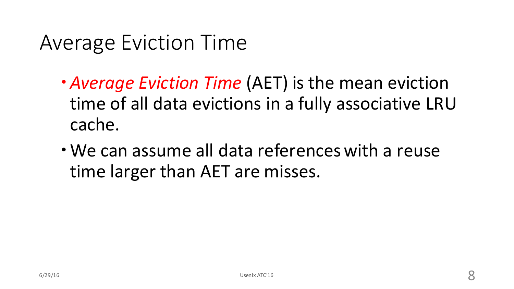### Average Eviction Time

- *Average Eviction Time* (AET) is the mean eviction time of all data evictions in a fully associative LRU cache.
- We can assume all data references with a reuse time larger than AET are misses.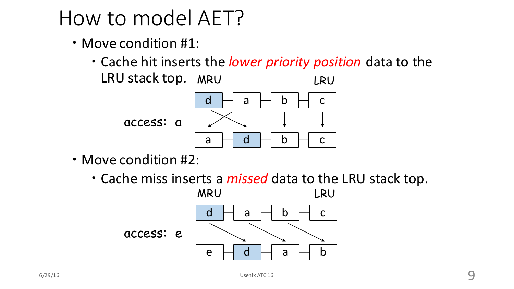# How to model AET?

- $\cdot$  Move condition #1:
	- Cache hit inserts the *lower priority position* data to the LRU stack top. MRU LRU



- Move condition #2:
	- Cache miss inserts a *missed* data to the LRU stack top.

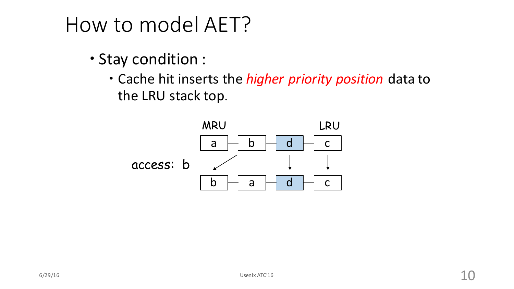# How to model AET?

- Stay condition :
	- Cache hit inserts the *higher priority position* data to the LRU stack top.

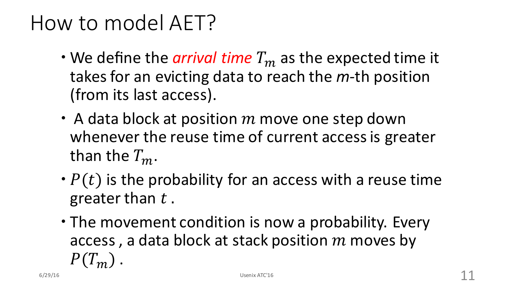# How to model AET?

- $\cdot$  We define the *arrival time*  $T_m$  as the expected time it takes for an evicting data to reach the *m*-th position (from its last access).
- A data block at position  $m$  move one step down whenever the reuse time of current access is greater than the  $T_m$ .
- $\cdot$   $P(t)$  is the probability for an access with a reuse time greater than  $t$ .
- The movement condition is now a probability. Every access, a data block at stack position  $m$  moves by  $P(T_m)$ . 6/29/16 Usenix ATC'16 Usenix ATC'16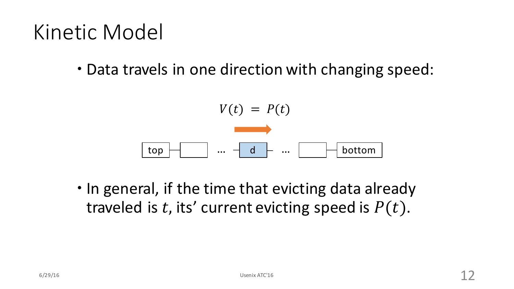### Kinetic Model

• Data travels in one direction with changing speed:

$$
V(t) = P(t)
$$
  
top  
...  
d  
...  
bottom

• In general, if the time that evicting data already traveled is t, its' current evicting speed is  $P(t)$ .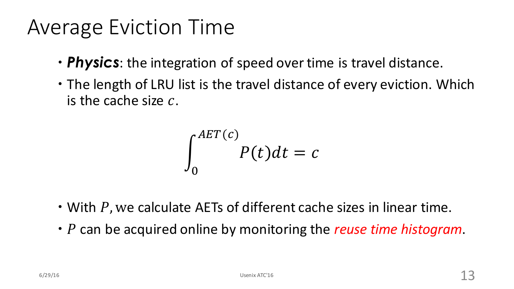### Average Eviction Time

- **Physics**: the integration of speed over time is travel distance.
- The length of LRU list is the travel distance of every eviction. Which is the cache size  $c$ .

$$
\int_0^{AET(c)} P(t)dt = c
$$

- With  $P$ , we calculate AETs of different cache sizes in linear time.
- P can be acquired online by monitoring the *reuse time histogram*.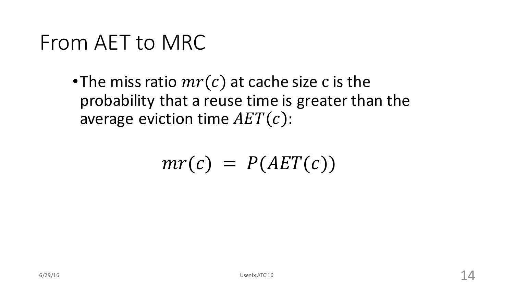#### From AET to MRC

•The miss ratio  $mr(c)$  at cache size c is the probability that a reuse time is greater than the average eviction time  $AET(c)$ :

$$
mr(c) = P(AET(c))
$$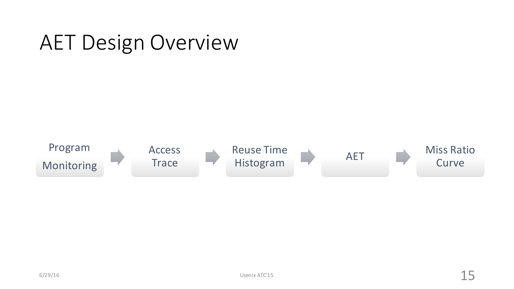#### AET Design Overview

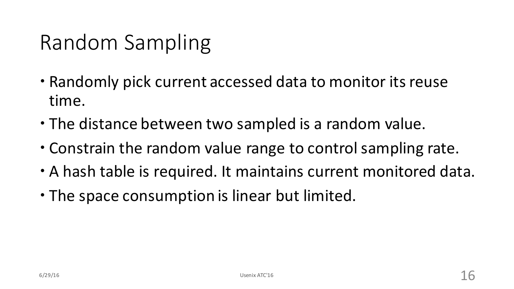# Random Sampling

- Randomly pick current accessed data to monitor its reuse time.
- The distance between two sampled is a random value.
- Constrain the random value range to control sampling rate.
- A hash table is required. It maintains current monitored data.
- The space consumption is linear but limited.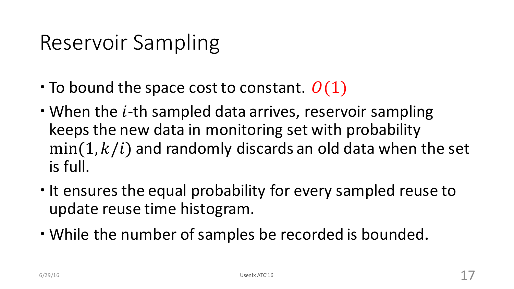# Reservoir Sampling

- $\cdot$  To bound the space cost to constant.  $O(1)$
- $\cdot$  When the *i*-th sampled data arrives, reservoir sampling keeps the new data in monitoring set with probability  $min(1, k/i)$  and randomly discards an old data when the set is full.
- It ensures the equal probability for every sampled reuse to update reuse time histogram.
- While the number of samples be recorded is bounded.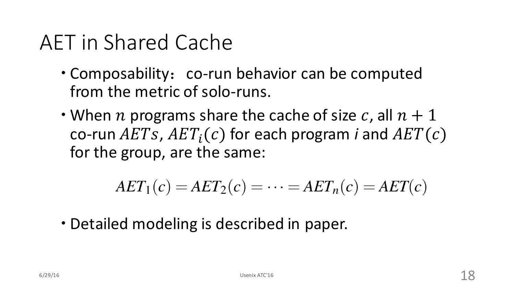# AET in Shared Cache

- Composability: co-run behavior can be computed from the metric of solo-runs.
- When n programs share the cache of size c, all  $n + 1$ co-run  $AETs$ ,  $AET<sub>i</sub>(c)$  for each program *i* and  $AET(c)$ for the group, are the same:

$$
AET_1(c) = AET_2(c) = \cdots = AET_n(c) = AET(c)
$$

• Detailed modeling is described in paper.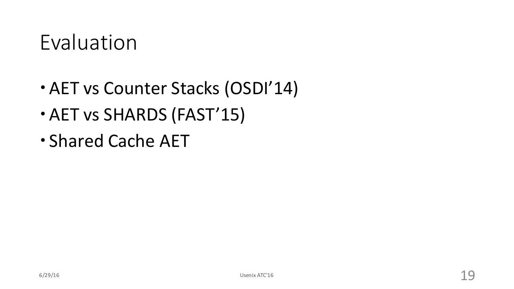#### Evaluation

- AET vs Counter Stacks (OSDI'14)
- AET vs SHARDS (FAST'15)
- Shared Cache AET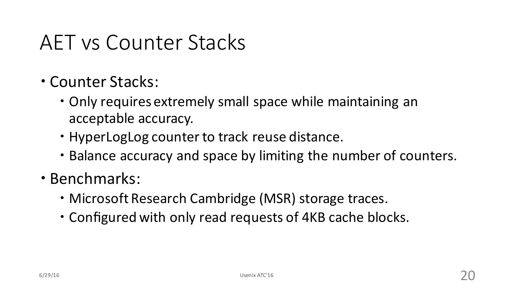#### AFT vs Counter Stacks

- Counter Stacks:
	- Only requires extremely small space while maintaining an acceptable accuracy.
	- HyperLogLog counter to track reuse distance.
	- Balance accuracy and space by limiting the number of counters.
- Benchmarks:
	- Microsoft Research Cambridge (MSR) storage traces.
	- Configured with only read requests of 4KB cache blocks.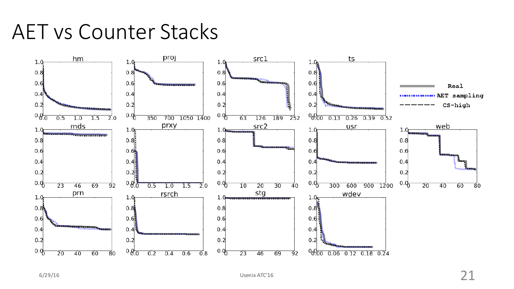#### AET vs Counter Stacks

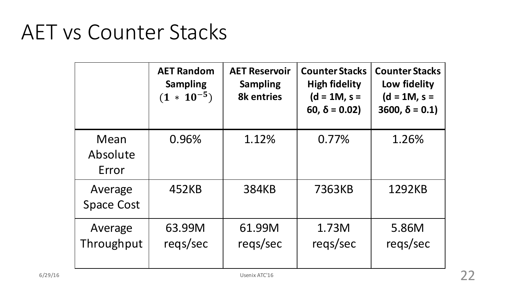#### **AET vs Counter Stacks**

|                              | <b>AET Random</b><br><b>Sampling</b><br>$(1 * 10^{-5})$ | <b>AET Reservoir</b><br><b>Sampling</b><br><b>8k entries</b> | <b>Counter Stacks</b><br><b>High fidelity</b><br>$(d = 1M, s =$<br>60, $\delta$ = 0.02) | <b>Counter Stacks</b><br>Low fidelity<br>$(d = 1M, s =$<br>$3600, \delta = 0.1$ |
|------------------------------|---------------------------------------------------------|--------------------------------------------------------------|-----------------------------------------------------------------------------------------|---------------------------------------------------------------------------------|
| Mean<br>Absolute<br>Error    | 0.96%                                                   | 1.12%                                                        | 0.77%                                                                                   | 1.26%                                                                           |
| Average<br><b>Space Cost</b> | 452KB                                                   | <b>384KB</b>                                                 | 7363KB                                                                                  | 1292KB                                                                          |
| Average<br>Throughput        | 63.99M<br>reqs/sec                                      | 61.99M<br>regs/sec                                           | 1.73M<br>regs/sec                                                                       | 5.86M<br>regs/sec                                                               |
|                              |                                                         | Usenix ATC'16                                                |                                                                                         |                                                                                 |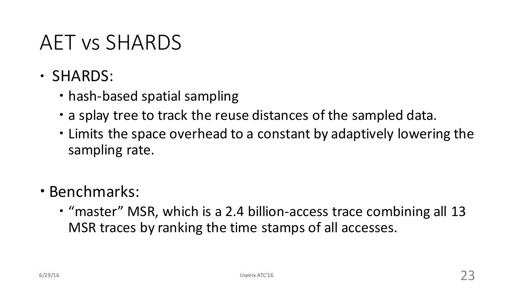#### AET vs SHARDS

- SHARDS:
	- hash-based spatial sampling
	- a splay tree to track the reuse distances of the sampled data.
	- Limits the space overhead to a constant by adaptively lowering the sampling rate.
- Benchmarks:
	- "master" MSR, which is a 2.4 billion-access trace combining all 13 MSR traces by ranking the time stamps of all accesses.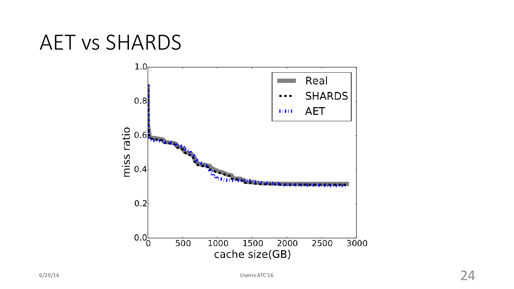#### AET vs SHARDS

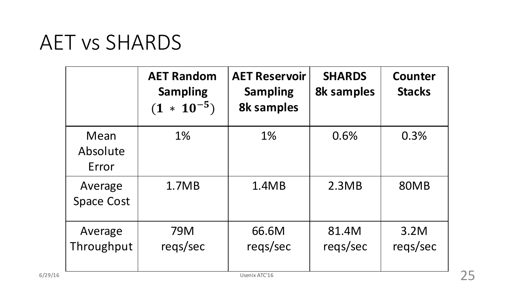#### AET vs SHARDS

|                              | <b>AET Random</b><br><b>Sampling</b><br>$* 10^{-5}$<br>(1) | <b>AET Reservoir</b><br><b>Sampling</b><br><b>8k samples</b> | <b>SHARDS</b><br><b>8k samples</b> | <b>Counter</b><br><b>Stacks</b> |
|------------------------------|------------------------------------------------------------|--------------------------------------------------------------|------------------------------------|---------------------------------|
| Mean<br>Absolute<br>Error    | 1%                                                         | 1%                                                           | 0.6%                               | 0.3%                            |
| Average<br><b>Space Cost</b> | 1.7MB                                                      | 1.4MB                                                        | 2.3MB                              | 80MB                            |
| Average<br>Throughput        | <b>79M</b><br>reqs/sec                                     | 66.6M<br>reqs/sec                                            | 81.4M<br>regs/sec                  | 3.2M<br>reqs/sec                |
|                              |                                                            | Usenix ATC'16                                                |                                    |                                 |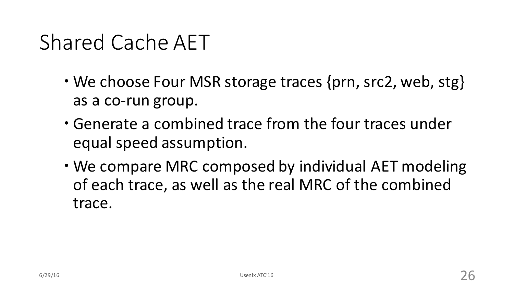# Shared Cache AFT

- We choose Four MSR storage traces {prn, src2, web, stg} as a co-run group.
- Generate a combined trace from the four traces under equal speed assumption.
- We compare MRC composed by individual AET modeling of each trace, as well as the real MRC of the combined trace.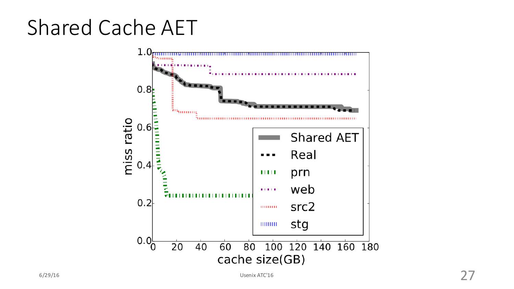# Shared Cache AET

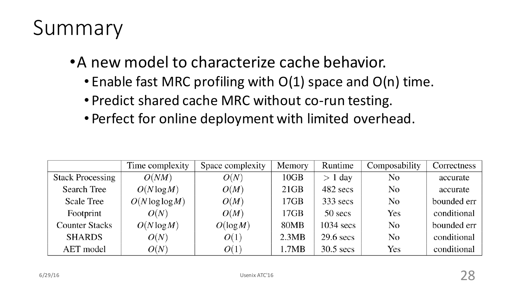# Summary

- A new model to characterize cache behavior.
	- Enable fast MRC profiling with  $O(1)$  space and  $O(n)$  time.
	- Predict shared cache MRC without co-run testing.
	- Perfect for online deployment with limited overhead.

|                         | Time complexity    | Space complexity | Memory | Runtime     | Composability | Correctness |
|-------------------------|--------------------|------------------|--------|-------------|---------------|-------------|
| <b>Stack Processing</b> | O(NM)              | O(N)             | 10GB   | $> 1$ day   | No            | accurate    |
| Search Tree             | $O(N \log M)$      | O(M)             | 21GB   | 482 secs    | No            | accurate    |
| <b>Scale Tree</b>       | $O(N \log \log M)$ | O(M)             | 17GB   | $333$ secs  | No            | bounded err |
| Footprint               | O(N)               | O(M)             | 17GB   | 50 secs     | Yes           | conditional |
| <b>Counter Stacks</b>   | $O(N \log M)$      | $O(\log M)$      | 80MB   | $1034$ secs | No            | bounded err |
| <b>SHARDS</b>           | O(N)               | O(1)             | 2.3MB  | $29.6$ secs | No            | conditional |
| AET model               | O(N)               | O(1)             | 1.7MB  | $30.5$ secs | Yes           | conditional |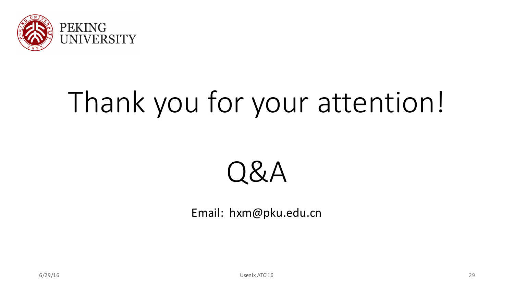

# Thank you for your attention!



Email: hxm@pku.edu.cn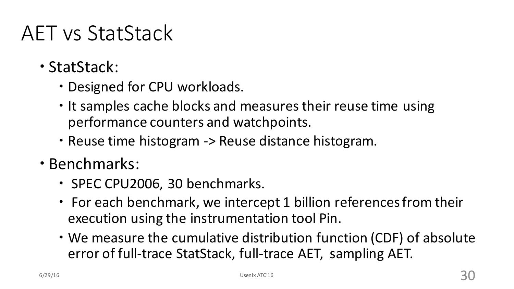# AET vs StatStack

- StatStack:
	- Designed for CPU workloads.
	- It samples cache blocks and measures their reuse time using performance counters and watchpoints.
	- Reuse time histogram -> Reuse distance histogram.
- Benchmarks:
	- SPEC CPU2006, 30 benchmarks.
	- For each benchmark, we intercept 1 billion references from their execution using the instrumentation tool Pin.
	- We measure the cumulative distribution function (CDF) of absolute error of full-trace StatStack, full-trace AET, sampling AET.